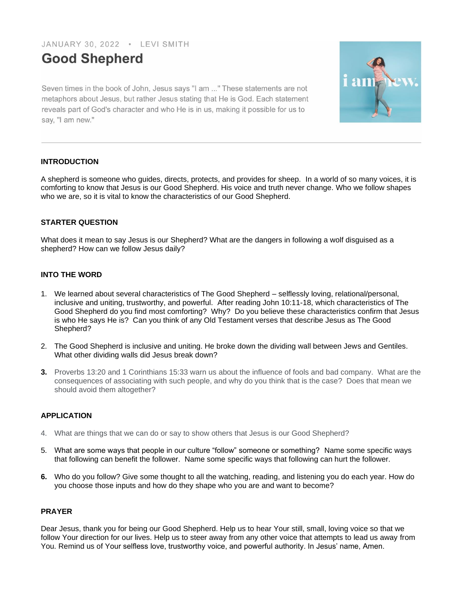JANUARY 30, 2022 . LEVI SMITH

# **Good Shepherd**

Seven times in the book of John, Jesus says "I am ..." These statements are not metaphors about Jesus, but rather Jesus stating that He is God. Each statement reveals part of God's character and who He is in us, making it possible for us to say, "I am new."



# **INTRODUCTION**

A shepherd is someone who guides, directs, protects, and provides for sheep. In a world of so many voices, it is comforting to know that Jesus is our Good Shepherd. His voice and truth never change. Who we follow shapes who we are, so it is vital to know the characteristics of our Good Shepherd.

# **STARTER QUESTION**

What does it mean to say Jesus is our Shepherd? What are the dangers in following a wolf disguised as a shepherd? How can we follow Jesus daily?

# **INTO THE WORD**

- 1. We learned about several characteristics of The Good Shepherd selflessly loving, relational/personal, inclusive and uniting, trustworthy, and powerful. After reading John 10:11-18, which characteristics of The Good Shepherd do you find most comforting? Why? Do you believe these characteristics confirm that Jesus is who He says He is? Can you think of any Old Testament verses that describe Jesus as The Good Shepherd?
- 2. The Good Shepherd is inclusive and uniting. He broke down the dividing wall between Jews and Gentiles. What other dividing walls did Jesus break down?
- **3.** Proverbs 13:20 and 1 Corinthians 15:33 warn us about the influence of fools and bad company. What are the consequences of associating with such people, and why do you think that is the case? Does that mean we should avoid them altogether?

## **APPLICATION**

- 4. What are things that we can do or say to show others that Jesus is our Good Shepherd?
- 5. What are some ways that people in our culture "follow" someone or something? Name some specific ways that following can benefit the follower. Name some specific ways that following can hurt the follower.
- **6.** Who do you follow? Give some thought to all the watching, reading, and listening you do each year. How do you choose those inputs and how do they shape who you are and want to become?

## **PRAYER**

Dear Jesus, thank you for being our Good Shepherd. Help us to hear Your still, small, loving voice so that we follow Your direction for our lives. Help us to steer away from any other voice that attempts to lead us away from You. Remind us of Your selfless love, trustworthy voice, and powerful authority. In Jesus' name, Amen.